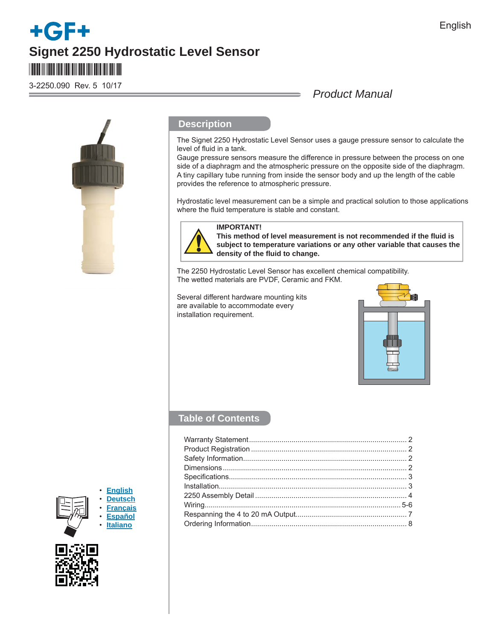# **Signet 2250 Hydrostatic Level Sensor** \*3-2250.090\*

3-2250.090 Rev. 5 10/17

## *Product Manual*



## **Description**

The Signet 2250 Hydrostatic Level Sensor uses a gauge pressure sensor to calculate the level of fluid in a tank.

Gauge pressure sensors measure the difference in pressure between the process on one side of a diaphragm and the atmospheric pressure on the opposite side of the diaphragm. A tiny capillary tube running from inside the sensor body and up the length of the cable provides the reference to atmospheric pressure.

Hydrostatic level measurement can be a simple and practical solution to those applications where the fluid temperature is stable and constant.



## **IMPORTANT!**

**This method of level measurement is not recommended if the fl uid is subject to temperature variations or any other variable that causes the density of the fl uid to change.** 

The 2250 Hydrostatic Level Sensor has excellent chemical compatibility. The wetted materials are PVDF, Ceramic and FKM.

Several different hardware mounting kits are available to accommodate every installation requirement.



## **Table of Contents**





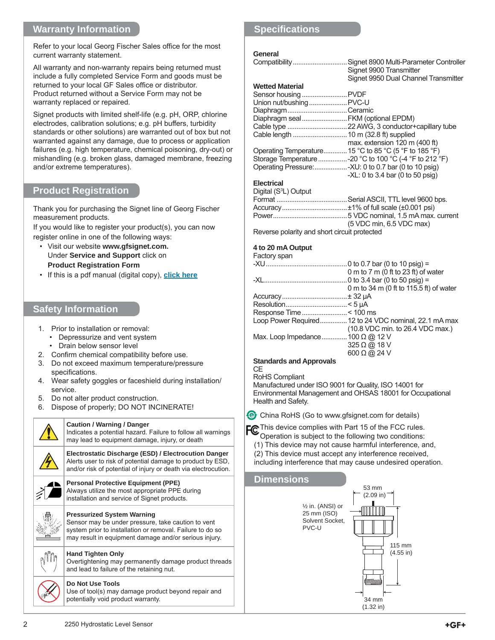## **Warranty Information**

Refer to your local Georg Fischer Sales office for the most current warranty statement.

All warranty and non-warranty repairs being returned must include a fully completed Service Form and goods must be returned to your local GF Sales office or distributor. Product returned without a Service Form may not be warranty replaced or repaired.

Signet products with limited shelf-life (e.g. pH, ORP, chlorine electrodes, calibration solutions; e.g. pH buffers, turbidity standards or other solutions) are warranted out of box but not warranted against any damage, due to process or application failures (e.g. high temperature, chemical poisoning, dry-out) or mishandling (e.g. broken glass, damaged membrane, freezing and/or extreme temperatures).

## **Product Registration**

Thank you for purchasing the Signet line of Georg Fischer measurement products.

If you would like to register your product(s), you can now register online in one of the following ways:

- Visit our website **www.gfsignet.com.**  Under **Service and Support** click on **Product Registration Form**
- If this is a pdf manual (digital copy), **[click here](http://www.gfps.com/content/dam/gfps_country_US/Content/signet/Downloads/ProductRegistrationForm.pdf)**

## **Safety Information**

- 1. Prior to installation or removal:
	- Depressurize and vent system
	- Drain below sensor level
- 2. Confirm chemical compatibility before use.
- 3. Do not exceed maximum temperature/pressure specifications.
- 4. Wear safety goggles or faceshield during installation/ service.
- 5. Do not alter product construction.
- 6. Dispose of properly; DO NOT INCINERATE!

## **Caution / Warning / Danger** Indicates a potential hazard. Failure to follow all warnings may lead to equipment damage, injury, or death **Electrostatic Discharge (ESD) / Electrocution Danger** Alerts user to risk of potential damage to product by ESD, and/or risk of potential of injury or death via electrocution. **Personal Protective Equipment (PPE)** Always utilize the most appropriate PPE during installation and service of Signet products. **Pressurized System Warning** Sensor may be under pressure, take caution to vent system prior to installation or removal. Failure to do so may result in equipment damage and/or serious injury. **Hand Tighten Only** Overtightening may permanently damage product threads and lead to failure of the retaining nut. **Do Not Use Tools**

Use of tool(s) may damage product beyond repair and potentially void product warranty.

## **Specifi cations**

#### **General**

| Compatibility                     | Signet 8900 Multi-Parameter Controller                 |
|-----------------------------------|--------------------------------------------------------|
|                                   | Signet 9900 Transmitter                                |
|                                   | Signet 9950 Dual Channel Transmitter                   |
| <b>Wetted Material</b>            |                                                        |
| Sensor housing  PVDF              |                                                        |
| Union nut/bushing  PVC-U          |                                                        |
| DiaphragmCeramic                  |                                                        |
| Diaphragm sealFKM (optional EPDM) |                                                        |
|                                   |                                                        |
|                                   |                                                        |
|                                   | max. extension $120 \text{ m}$ (400 ft)                |
|                                   | Operating Temperature 15 °C to 85 °C (5 °F to 185 °F)  |
|                                   | Storage Temperature -20 °C to 100 °C (-4 °F to 212 °F) |
|                                   |                                                        |
|                                   | $-XL: 0$ to 3.4 bar (0 to 50 psig)                     |
| <b>Electrical</b>                 |                                                        |
| Digital (S <sup>3</sup> L) Output |                                                        |
|                                   |                                                        |

| $D$ iyitar ( $O$ L) Output                   |                            |
|----------------------------------------------|----------------------------|
|                                              |                            |
|                                              |                            |
|                                              |                            |
|                                              | $(5$ VDC min, 6.5 VDC max) |
| Poverso polarity and short circuit protoctod |                            |

Reverse polarity and short circuit protected

#### **4 to 20 mA Output**

Eactory and

| <b>Factuly Spall</b>                     |                                                       |
|------------------------------------------|-------------------------------------------------------|
|                                          | 0 to 0.7 bar (0 to 10 psig) =                         |
|                                          | 0 m to 7 m (0 ft to 23 ft) of water                   |
|                                          |                                                       |
|                                          | 0 m to 34 m (0 ft to 115.5 ft) of water               |
|                                          | .± 32 µA                                              |
|                                          |                                                       |
|                                          |                                                       |
|                                          | Loop Power Required 12 to 24 VDC nominal, 22.1 mA max |
|                                          | (10.8 VDC min. to 26.4 VDC max.)                      |
| Max. Loop Impedance  100 $\Omega$ @ 12 V |                                                       |
|                                          | $325 \Omega$ @ 18 V                                   |
|                                          | $600 \Omega \omega$ 24 V                              |
| Standards and Annrovals                  |                                                       |

#### **Standards and Approvals CE**

RoHS Compliant

Manufactured under ISO 9001 for Quality, ISO 14001 for Environmental Management and OHSAS 18001 for Occupational Health and Safety.

**C** China RoHS (Go to www.gfsignet.com for details)

FC This device complies with Part 15 of the FCC rules.

- Operation is subject to the following two conditions:
- (1) This device may not cause harmful interference, and,
- (2) This device must accept any interference received, including interference that may cause undesired operation.

# **Dimensions**

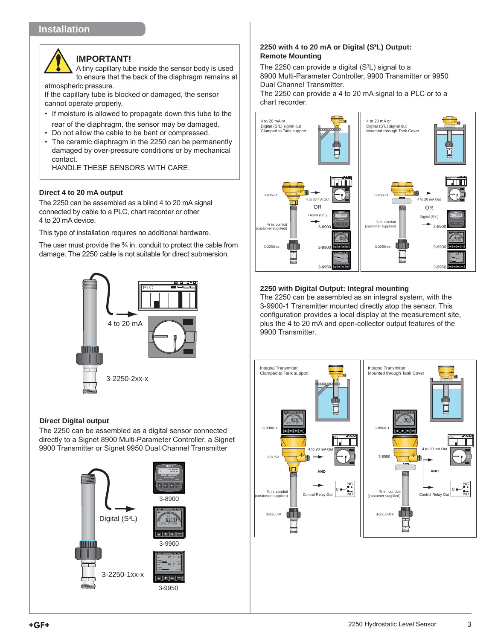## **Installation**

## **IMPORTANT!**

A tiny capillary tube inside the sensor body is used to ensure that the back of the diaphragm remains at atmospheric pressure.

If the capillary tube is blocked or damaged, the sensor cannot operate properly.

- If moisture is allowed to propagate down this tube to the rear of the diaphragm, the sensor may be damaged.
- Do not allow the cable to be bent or compressed.
- The ceramic diaphragm in the 2250 can be permanently damaged by over-pressure conditions or by mechanical contact.

HANDLE THESE SENSORS WITH CARE.

#### **Direct 4 to 20 mA output**

The 2250 can be assembled as a blind 4 to 20 mA signal connected by cable to a PLC, chart recorder or other 4 to 20 mA device.

This type of installation requires no additional hardware.

The user must provide the  $\frac{3}{4}$  in. conduit to protect the cable from damage. The 2250 cable is not suitable for direct submersion.



#### **Direct Digital output**

The 2250 can be assembled as a digital sensor connected directly to a Signet 8900 Multi-Parameter Controller, a Signet 9900 Transmitter or Signet 9950 Dual Channel Transmitter



#### **2250 with 4 to 20 mA or Digital (S3 L) Output: Remote Mounting**

The 2250 can provide a digital  $(S^3L)$  signal to a 8900 Multi-Parameter Controller, 9900 Transmitter or 9950 Dual Channel Transmitter.

The 2250 can provide a 4 to 20 mA signal to a PLC or to a chart recorder.



### **2250 with Digital Output: Integral mounting**

The 2250 can be assembled as an integral system, with the 3-9900-1 Transmitter mounted directly atop the sensor. This configuration provides a local display at the measurement site, plus the 4 to 20 mA and open-collector output features of the 9900 Transmitter.

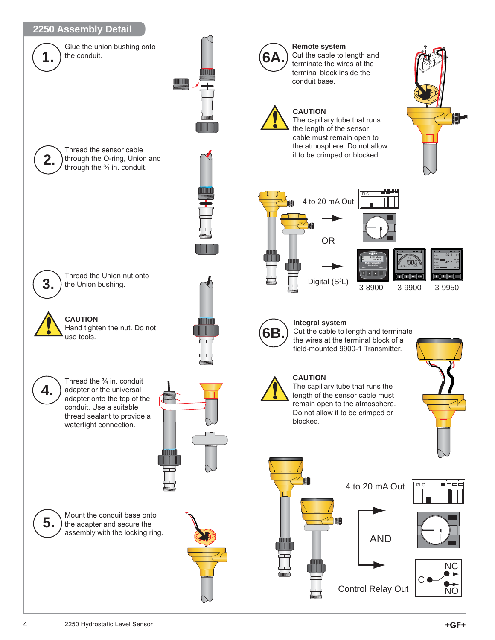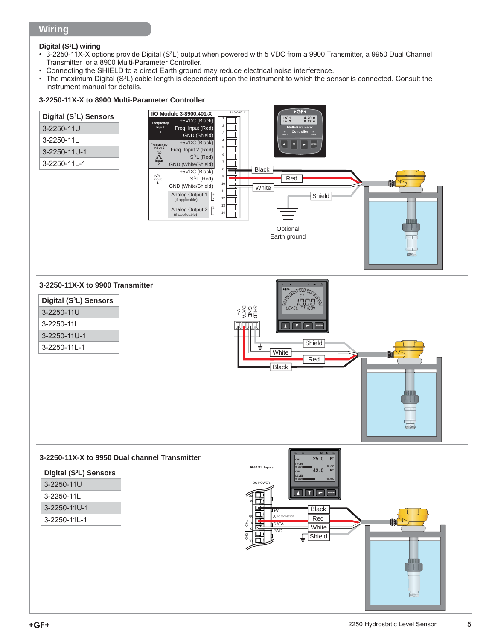## **Wiring**

### **Digital (S3 L) wiring**

- 3-2250-11X-X options provide Digital (S<sup>3</sup>L) output when powered with 5 VDC from a 9900 Transmitter, a 9950 Dual Channel Transmitter or a 8900 Multi-Parameter Controller.
- Connecting the SHIELD to a direct Earth ground may reduce electrical noise interference.<br>• The maximum Digital (S<sup>3</sup>L) cable length is dependent upon the instrument to which the set
- The maximum Digital (S<sup>3</sup>L) cable length is dependent upon the instrument to which the sensor is connected. Consult the instrument manual for details.

### **3-2250-11X-X to 8900 Multi-Parameter Controller**

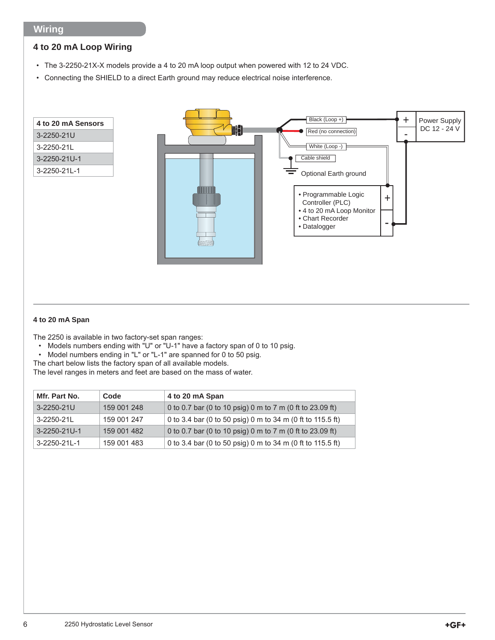## **Wiring**

## **4 to 20 mA Loop Wiring**

- The 3-2250-21X-X models provide a 4 to 20 mA loop output when powered with 12 to 24 VDC.
- Connecting the SHIELD to a direct Earth ground may reduce electrical noise interference.



#### **4 to 20 mA Span**

The 2250 is available in two factory-set span ranges:

- Models numbers ending with "U" or "U-1" have a factory span of 0 to 10 psig.
- Model numbers ending in "L" or "L-1" are spanned for 0 to 50 psig.

The chart below lists the factory span of all available models.

The level ranges in meters and feet are based on the mass of water.

| Mfr. Part No. | Code        | 4 to 20 mA Span                                            |
|---------------|-------------|------------------------------------------------------------|
| 3-2250-21U    | 159 001 248 | 0 to 0.7 bar (0 to 10 psig) 0 m to 7 m (0 ft to 23.09 ft)  |
| 3-2250-21L    | 159 001 247 | 0 to 3.4 bar (0 to 50 psig) 0 m to 34 m (0 ft to 115.5 ft) |
| 3-2250-21U-1  | 159 001 482 | 0 to 0.7 bar (0 to 10 psig) 0 m to 7 m (0 ft to 23.09 ft)  |
| 3-2250-21L-1  | 159 001 483 | 0 to 3.4 bar (0 to 50 psig) 0 m to 34 m (0 ft to 115.5 ft) |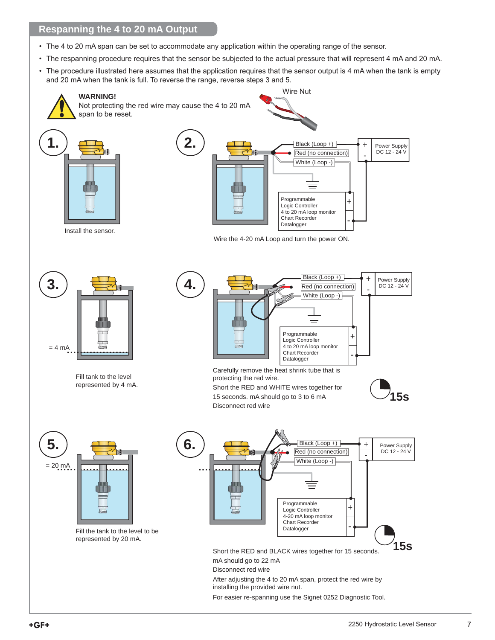## **Respanning the 4 to 20 mA Output**

- The 4 to 20 mA span can be set to accommodate any application within the operating range of the sensor.
- The respanning procedure requires that the sensor be subjected to the actual pressure that will represent 4 mA and 20 mA.
- The procedure illustrated here assumes that the application requires that the sensor output is 4 mA when the tank is empty and 20 mA when the tank is full. To reverse the range, reverse steps 3 and 5.